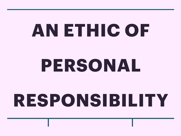# **AN ETHIC OF PERSONAL**

## **RESPONSIBILITY**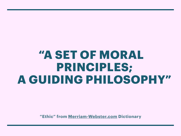#### **"A SET OF MORAL PRINCIPLES; A GUIDING PHILOSOPHY"**

**"Ethic" from [Merriam-Webster.com](http://Merriam-Webster.com) Dictionary**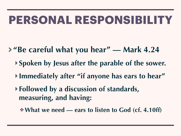- **"Be careful what you hear" Mark 4.24** 
	- **‣ Spoken by Jesus after the parable of the sower.**
	- **‣ Immediately after "if anyone has ears to hear"**
	- **‣ Followed by a discussion of standards, measuring, and having:** 
		- ✤ **What we need ears to listen to God (cf. 4.10ff)**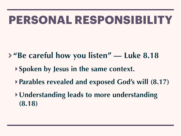- **"Be careful how you listen" Luke 8.18** 
	- **‣ Spoken by Jesus in the same context.**
	- **‣ Parables revealed and exposed God's will (8.17)**
	- **‣Understanding leads to more understanding (8.18)**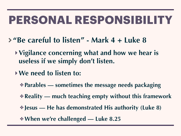- **"Be careful to listen" Mark 4 + Luke 8** 
	- **‣Vigilance concerning what and how we hear is useless if we simply don't listen.**
	- **‣We need to listen to:** 
		- ✤ **Parables sometimes the message needs packaging**
		- ✤ **Reality much teaching empty without this framework**
		- ✤ **Jesus He has demonstrated His authority (Luke 8)**
		- ✤ **When we're challenged Luke 8.25**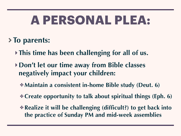## **A PERSONAL PLEA:**

#### **To parents:**

- **‣ This time has been challenging for all of us.**
- **‣Don't let our time away from Bible classes negatively impact your children:** 
	- ✤ **Maintain a consistent in-home Bible study (Deut. 6)**
	- ✤ **Create opportunity to talk about spiritual things (Eph. 6)**
	- ✤ **Realize it will be challenging (difficult?) to get back into the practice of Sunday PM and mid-week assemblies**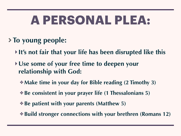## **A PERSONAL PLEA:**

#### **To young people:**

- **‣ It's not fair that your life has been disrupted like this**
- **‣Use some of your free time to deepen your relationship with God:** 
	- ✤ **Make time in your day for Bible reading (2 Timothy 3)**
	- ✤ **Be consistent in your prayer life (1 Thessalonians 5)**
	- ✤ **Be patient with your parents (Matthew 5)**
	- ✤ **Build stronger connections with your brethren (Romans 12)**